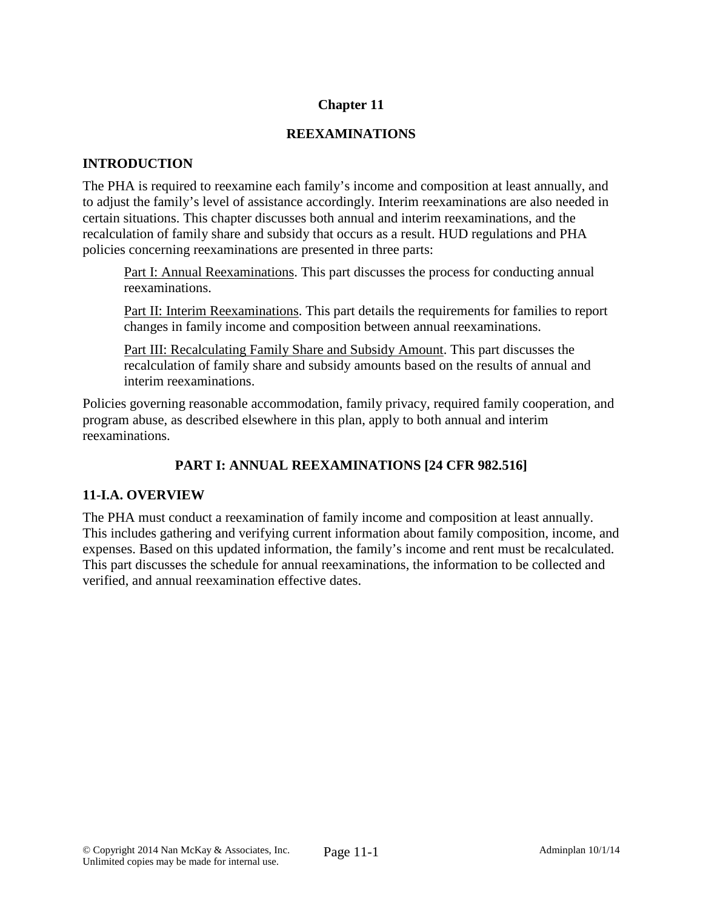# **Chapter 11**

## **REEXAMINATIONS**

## **INTRODUCTION**

The PHA is required to reexamine each family's income and composition at least annually, and to adjust the family's level of assistance accordingly. Interim reexaminations are also needed in certain situations. This chapter discusses both annual and interim reexaminations, and the recalculation of family share and subsidy that occurs as a result. HUD regulations and PHA policies concerning reexaminations are presented in three parts:

Part I: Annual Reexaminations. This part discusses the process for conducting annual reexaminations.

Part II: Interim Reexaminations. This part details the requirements for families to report changes in family income and composition between annual reexaminations.

Part III: Recalculating Family Share and Subsidy Amount. This part discusses the recalculation of family share and subsidy amounts based on the results of annual and interim reexaminations.

Policies governing reasonable accommodation, family privacy, required family cooperation, and program abuse, as described elsewhere in this plan, apply to both annual and interim reexaminations.

# **PART I: ANNUAL REEXAMINATIONS [24 CFR 982.516]**

# **11-I.A. OVERVIEW**

The PHA must conduct a reexamination of family income and composition at least annually. This includes gathering and verifying current information about family composition, income, and expenses. Based on this updated information, the family's income and rent must be recalculated. This part discusses the schedule for annual reexaminations, the information to be collected and verified, and annual reexamination effective dates.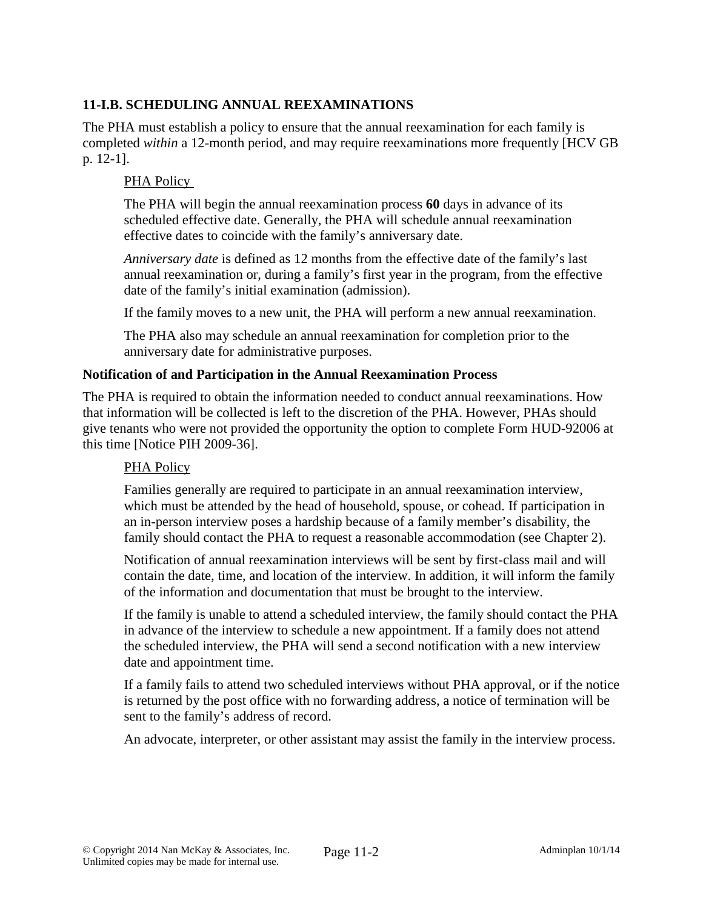# **11-I.B. SCHEDULING ANNUAL REEXAMINATIONS**

The PHA must establish a policy to ensure that the annual reexamination for each family is completed *within* a 12-month period, and may require reexaminations more frequently [HCV GB p. 12-1].

### PHA Policy

The PHA will begin the annual reexamination process **60** days in advance of its scheduled effective date. Generally, the PHA will schedule annual reexamination effective dates to coincide with the family's anniversary date.

*Anniversary date* is defined as 12 months from the effective date of the family's last annual reexamination or, during a family's first year in the program, from the effective date of the family's initial examination (admission).

If the family moves to a new unit, the PHA will perform a new annual reexamination.

The PHA also may schedule an annual reexamination for completion prior to the anniversary date for administrative purposes.

#### **Notification of and Participation in the Annual Reexamination Process**

The PHA is required to obtain the information needed to conduct annual reexaminations. How that information will be collected is left to the discretion of the PHA. However, PHAs should give tenants who were not provided the opportunity the option to complete Form HUD-92006 at this time [Notice PIH 2009-36].

## PHA Policy

Families generally are required to participate in an annual reexamination interview, which must be attended by the head of household, spouse, or cohead. If participation in an in-person interview poses a hardship because of a family member's disability, the family should contact the PHA to request a reasonable accommodation (see Chapter 2).

Notification of annual reexamination interviews will be sent by first-class mail and will contain the date, time, and location of the interview. In addition, it will inform the family of the information and documentation that must be brought to the interview.

If the family is unable to attend a scheduled interview, the family should contact the PHA in advance of the interview to schedule a new appointment. If a family does not attend the scheduled interview, the PHA will send a second notification with a new interview date and appointment time.

If a family fails to attend two scheduled interviews without PHA approval, or if the notice is returned by the post office with no forwarding address, a notice of termination will be sent to the family's address of record.

An advocate, interpreter, or other assistant may assist the family in the interview process.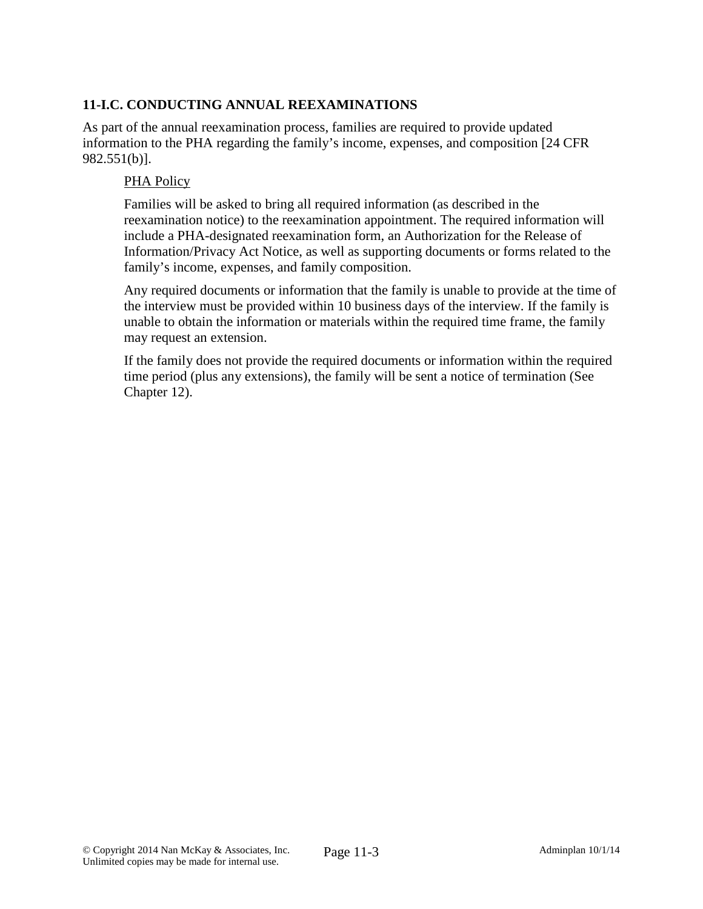# **11-I.C. CONDUCTING ANNUAL REEXAMINATIONS**

As part of the annual reexamination process, families are required to provide updated information to the PHA regarding the family's income, expenses, and composition [24 CFR 982.551(b)].

### PHA Policy

Families will be asked to bring all required information (as described in the reexamination notice) to the reexamination appointment. The required information will include a PHA-designated reexamination form, an Authorization for the Release of Information/Privacy Act Notice, as well as supporting documents or forms related to the family's income, expenses, and family composition.

Any required documents or information that the family is unable to provide at the time of the interview must be provided within 10 business days of the interview. If the family is unable to obtain the information or materials within the required time frame, the family may request an extension.

If the family does not provide the required documents or information within the required time period (plus any extensions), the family will be sent a notice of termination (See Chapter 12).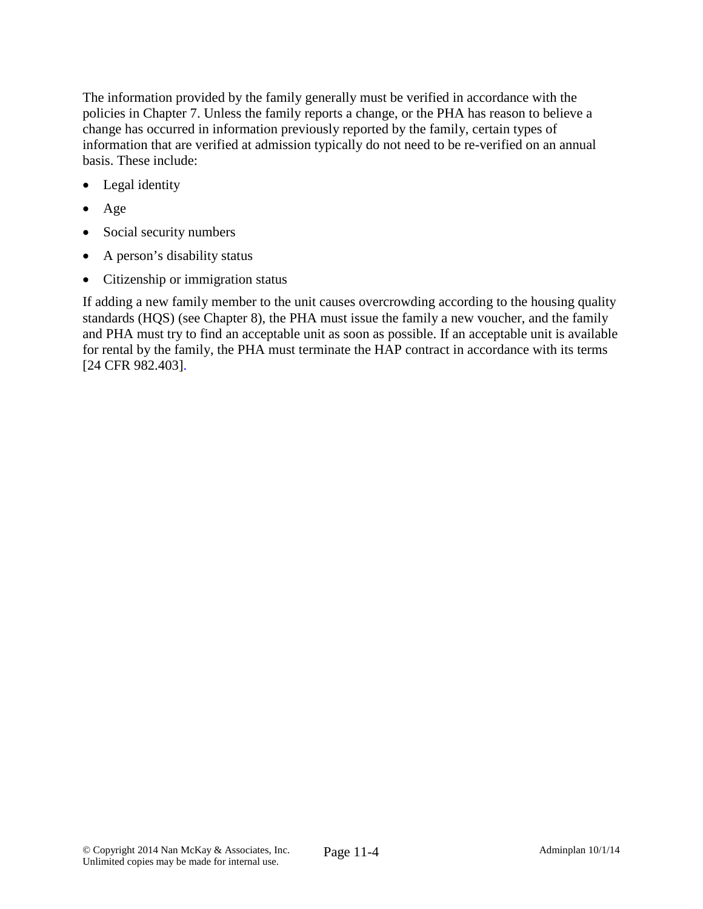The information provided by the family generally must be verified in accordance with the policies in Chapter 7. Unless the family reports a change, or the PHA has reason to believe a change has occurred in information previously reported by the family, certain types of information that are verified at admission typically do not need to be re-verified on an annual basis. These include:

- Legal identity
- Age
- Social security numbers
- A person's disability status
- Citizenship or immigration status

If adding a new family member to the unit causes overcrowding according to the housing quality standards (HQS) (see Chapter 8), the PHA must issue the family a new voucher, and the family and PHA must try to find an acceptable unit as soon as possible. If an acceptable unit is available for rental by the family, the PHA must terminate the HAP contract in accordance with its terms [24 CFR 982.403].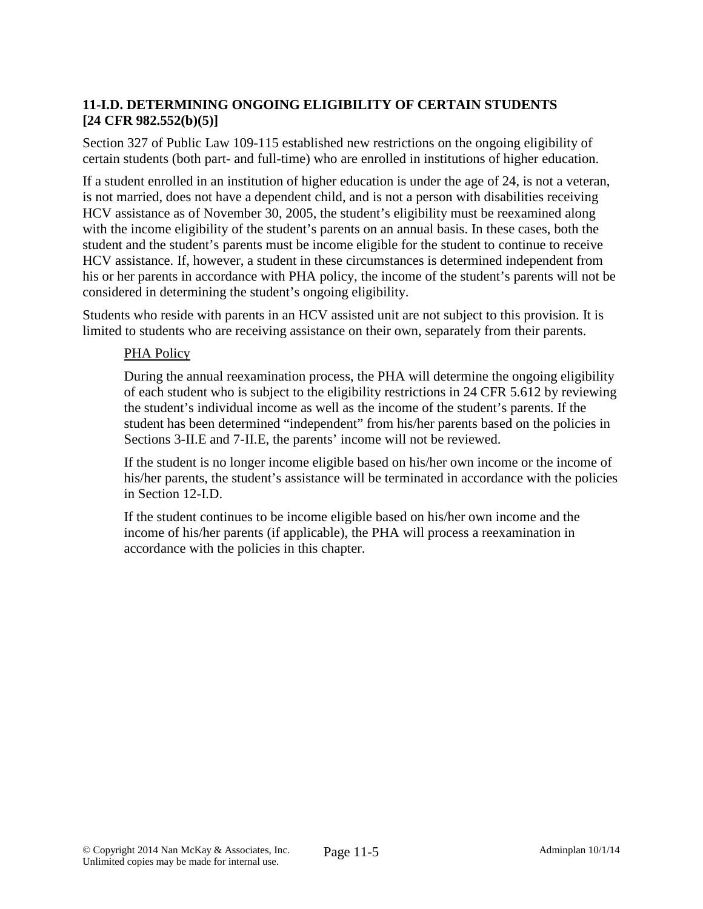# **11-I.D. DETERMINING ONGOING ELIGIBILITY OF CERTAIN STUDENTS [24 CFR 982.552(b)(5)]**

Section 327 of Public Law 109-115 established new restrictions on the ongoing eligibility of certain students (both part- and full-time) who are enrolled in institutions of higher education.

If a student enrolled in an institution of higher education is under the age of 24, is not a veteran, is not married, does not have a dependent child, and is not a person with disabilities receiving HCV assistance as of November 30, 2005, the student's eligibility must be reexamined along with the income eligibility of the student's parents on an annual basis. In these cases, both the student and the student's parents must be income eligible for the student to continue to receive HCV assistance. If, however, a student in these circumstances is determined independent from his or her parents in accordance with PHA policy, the income of the student's parents will not be considered in determining the student's ongoing eligibility.

Students who reside with parents in an HCV assisted unit are not subject to this provision. It is limited to students who are receiving assistance on their own, separately from their parents.

## PHA Policy

During the annual reexamination process, the PHA will determine the ongoing eligibility of each student who is subject to the eligibility restrictions in 24 CFR 5.612 by reviewing the student's individual income as well as the income of the student's parents. If the student has been determined "independent" from his/her parents based on the policies in Sections 3-II.E and 7-II.E, the parents' income will not be reviewed.

If the student is no longer income eligible based on his/her own income or the income of his/her parents, the student's assistance will be terminated in accordance with the policies in Section 12-I.D.

If the student continues to be income eligible based on his/her own income and the income of his/her parents (if applicable), the PHA will process a reexamination in accordance with the policies in this chapter.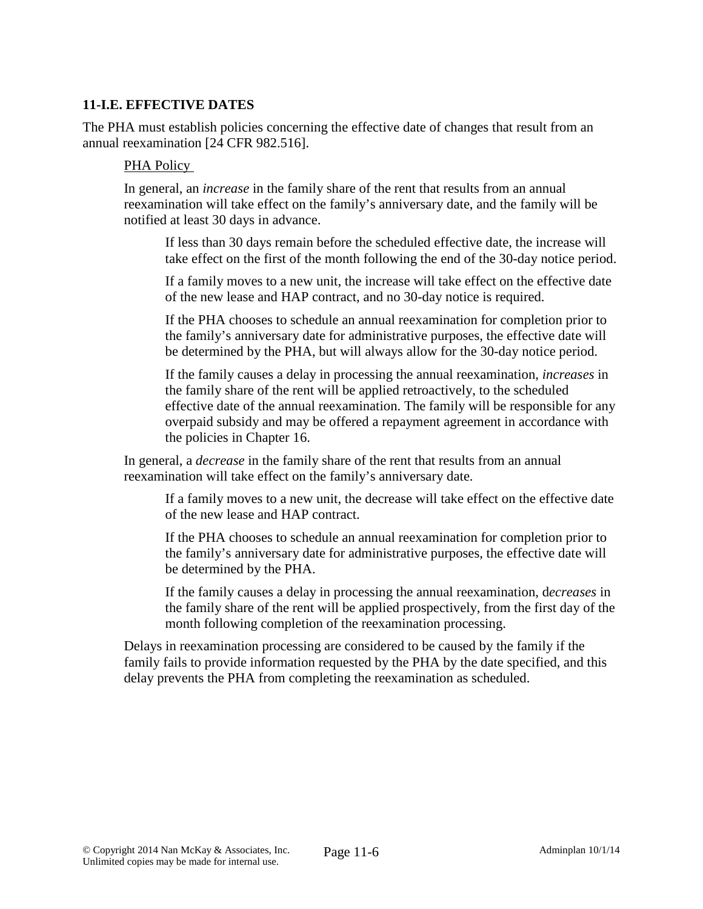## **11-I.E. EFFECTIVE DATES**

The PHA must establish policies concerning the effective date of changes that result from an annual reexamination [24 CFR 982.516].

### PHA Policy

In general, an *increase* in the family share of the rent that results from an annual reexamination will take effect on the family's anniversary date, and the family will be notified at least 30 days in advance.

If less than 30 days remain before the scheduled effective date, the increase will take effect on the first of the month following the end of the 30-day notice period.

If a family moves to a new unit, the increase will take effect on the effective date of the new lease and HAP contract, and no 30-day notice is required.

If the PHA chooses to schedule an annual reexamination for completion prior to the family's anniversary date for administrative purposes, the effective date will be determined by the PHA, but will always allow for the 30-day notice period.

If the family causes a delay in processing the annual reexamination, *increases* in the family share of the rent will be applied retroactively, to the scheduled effective date of the annual reexamination. The family will be responsible for any overpaid subsidy and may be offered a repayment agreement in accordance with the policies in Chapter 16.

In general, a *decrease* in the family share of the rent that results from an annual reexamination will take effect on the family's anniversary date.

If a family moves to a new unit, the decrease will take effect on the effective date of the new lease and HAP contract.

If the PHA chooses to schedule an annual reexamination for completion prior to the family's anniversary date for administrative purposes, the effective date will be determined by the PHA.

If the family causes a delay in processing the annual reexamination, d*ecreases* in the family share of the rent will be applied prospectively, from the first day of the month following completion of the reexamination processing.

Delays in reexamination processing are considered to be caused by the family if the family fails to provide information requested by the PHA by the date specified, and this delay prevents the PHA from completing the reexamination as scheduled.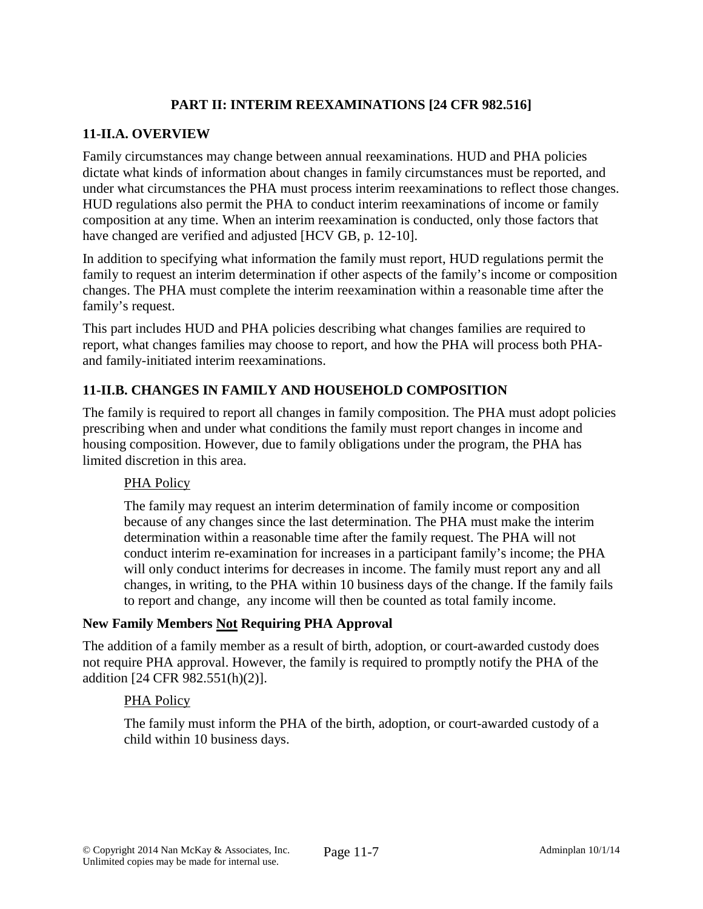# **PART II: INTERIM REEXAMINATIONS [24 CFR 982.516]**

### **11-II.A. OVERVIEW**

Family circumstances may change between annual reexaminations. HUD and PHA policies dictate what kinds of information about changes in family circumstances must be reported, and under what circumstances the PHA must process interim reexaminations to reflect those changes. HUD regulations also permit the PHA to conduct interim reexaminations of income or family composition at any time. When an interim reexamination is conducted, only those factors that have changed are verified and adjusted [HCV GB, p. 12-10].

In addition to specifying what information the family must report, HUD regulations permit the family to request an interim determination if other aspects of the family's income or composition changes. The PHA must complete the interim reexamination within a reasonable time after the family's request.

This part includes HUD and PHA policies describing what changes families are required to report, what changes families may choose to report, and how the PHA will process both PHAand family-initiated interim reexaminations.

## **11-II.B. CHANGES IN FAMILY AND HOUSEHOLD COMPOSITION**

The family is required to report all changes in family composition. The PHA must adopt policies prescribing when and under what conditions the family must report changes in income and housing composition. However, due to family obligations under the program, the PHA has limited discretion in this area.

#### PHA Policy

The family may request an interim determination of family income or composition because of any changes since the last determination. The PHA must make the interim determination within a reasonable time after the family request. The PHA will not conduct interim re-examination for increases in a participant family's income; the PHA will only conduct interims for decreases in income. The family must report any and all changes, in writing, to the PHA within 10 business days of the change. If the family fails to report and change, any income will then be counted as total family income.

#### **New Family Members Not Requiring PHA Approval**

The addition of a family member as a result of birth, adoption, or court-awarded custody does not require PHA approval. However, the family is required to promptly notify the PHA of the addition [24 CFR 982.551(h)(2)].

#### PHA Policy

The family must inform the PHA of the birth, adoption, or court-awarded custody of a child within 10 business days.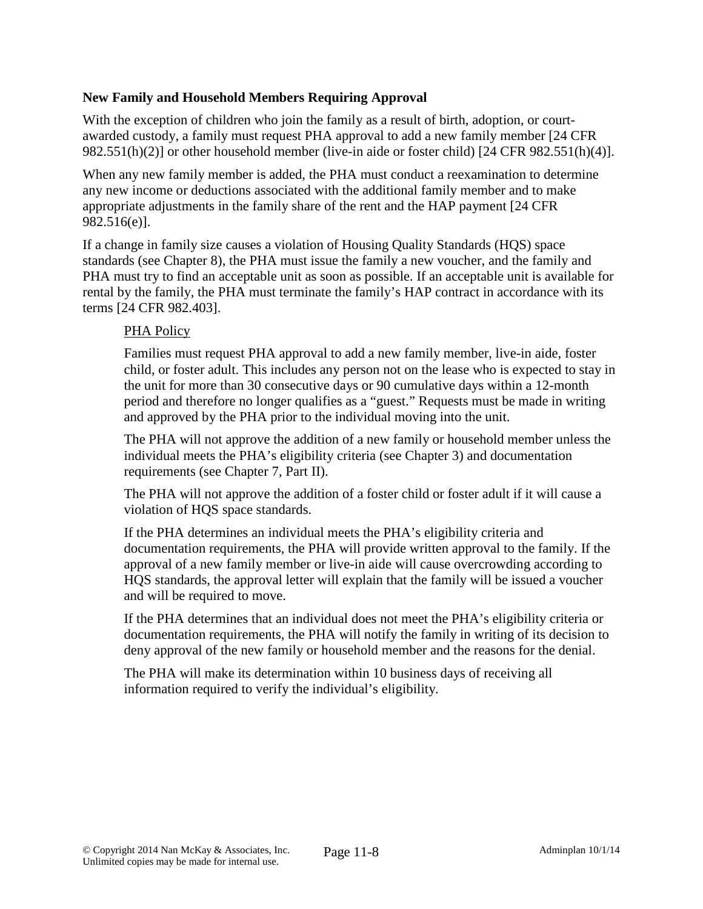## **New Family and Household Members Requiring Approval**

With the exception of children who join the family as a result of birth, adoption, or courtawarded custody, a family must request PHA approval to add a new family member [24 CFR 982.551(h)(2)] or other household member (live-in aide or foster child) [24 CFR 982.551(h)(4)].

When any new family member is added, the PHA must conduct a reexamination to determine any new income or deductions associated with the additional family member and to make appropriate adjustments in the family share of the rent and the HAP payment [24 CFR 982.516(e)].

If a change in family size causes a violation of Housing Quality Standards (HQS) space standards (see Chapter 8), the PHA must issue the family a new voucher, and the family and PHA must try to find an acceptable unit as soon as possible. If an acceptable unit is available for rental by the family, the PHA must terminate the family's HAP contract in accordance with its terms [24 CFR 982.403].

## PHA Policy

Families must request PHA approval to add a new family member, live-in aide, foster child, or foster adult. This includes any person not on the lease who is expected to stay in the unit for more than 30 consecutive days or 90 cumulative days within a 12-month period and therefore no longer qualifies as a "guest." Requests must be made in writing and approved by the PHA prior to the individual moving into the unit.

The PHA will not approve the addition of a new family or household member unless the individual meets the PHA's eligibility criteria (see Chapter 3) and documentation requirements (see Chapter 7, Part II).

The PHA will not approve the addition of a foster child or foster adult if it will cause a violation of HQS space standards.

If the PHA determines an individual meets the PHA's eligibility criteria and documentation requirements, the PHA will provide written approval to the family. If the approval of a new family member or live-in aide will cause overcrowding according to HQS standards, the approval letter will explain that the family will be issued a voucher and will be required to move.

If the PHA determines that an individual does not meet the PHA's eligibility criteria or documentation requirements, the PHA will notify the family in writing of its decision to deny approval of the new family or household member and the reasons for the denial.

The PHA will make its determination within 10 business days of receiving all information required to verify the individual's eligibility.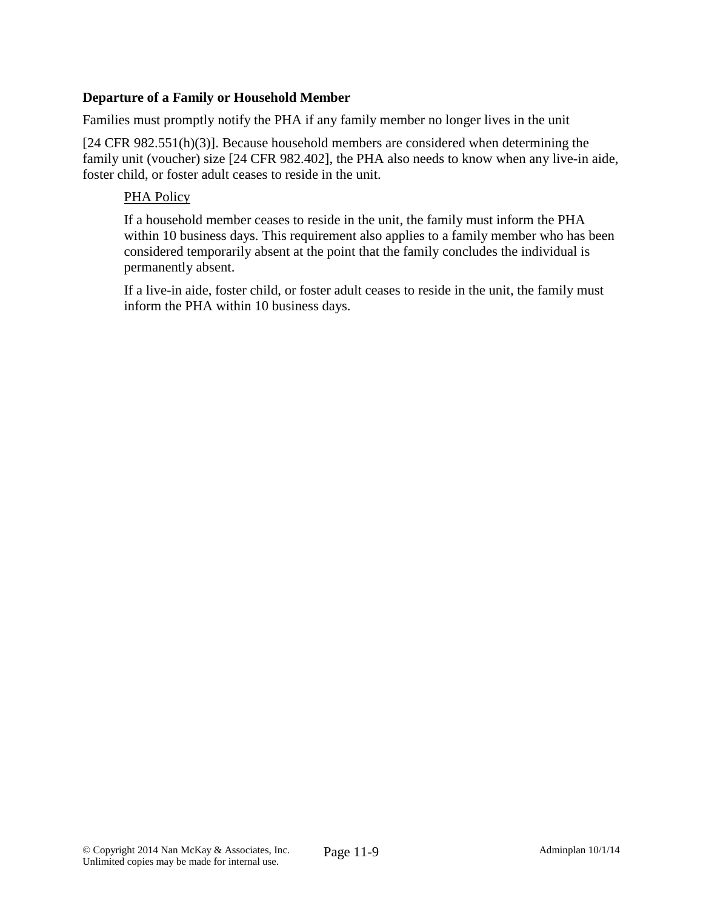## **Departure of a Family or Household Member**

Families must promptly notify the PHA if any family member no longer lives in the unit

[24 CFR 982.551(h)(3)]. Because household members are considered when determining the family unit (voucher) size [24 CFR 982.402], the PHA also needs to know when any live-in aide, foster child, or foster adult ceases to reside in the unit.

### PHA Policy

If a household member ceases to reside in the unit, the family must inform the PHA within 10 business days. This requirement also applies to a family member who has been considered temporarily absent at the point that the family concludes the individual is permanently absent.

If a live-in aide, foster child, or foster adult ceases to reside in the unit, the family must inform the PHA within 10 business days.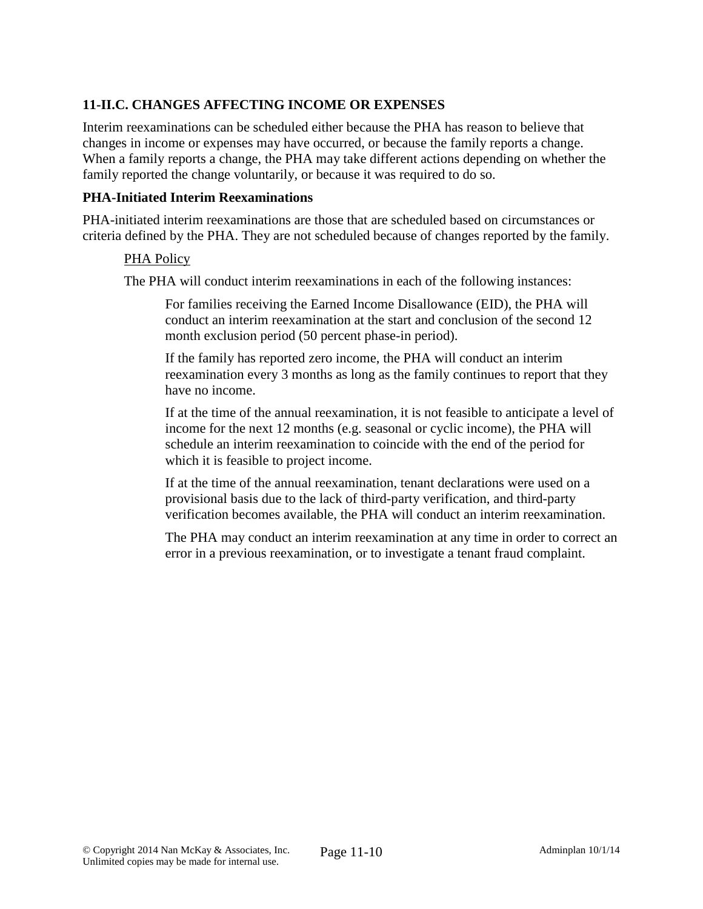# **11-II.C. CHANGES AFFECTING INCOME OR EXPENSES**

Interim reexaminations can be scheduled either because the PHA has reason to believe that changes in income or expenses may have occurred, or because the family reports a change. When a family reports a change, the PHA may take different actions depending on whether the family reported the change voluntarily, or because it was required to do so.

#### **PHA-Initiated Interim Reexaminations**

PHA-initiated interim reexaminations are those that are scheduled based on circumstances or criteria defined by the PHA. They are not scheduled because of changes reported by the family.

#### PHA Policy

The PHA will conduct interim reexaminations in each of the following instances:

For families receiving the Earned Income Disallowance (EID), the PHA will conduct an interim reexamination at the start and conclusion of the second 12 month exclusion period (50 percent phase-in period).

If the family has reported zero income, the PHA will conduct an interim reexamination every 3 months as long as the family continues to report that they have no income.

If at the time of the annual reexamination, it is not feasible to anticipate a level of income for the next 12 months (e.g. seasonal or cyclic income), the PHA will schedule an interim reexamination to coincide with the end of the period for which it is feasible to project income.

If at the time of the annual reexamination, tenant declarations were used on a provisional basis due to the lack of third-party verification, and third-party verification becomes available, the PHA will conduct an interim reexamination.

The PHA may conduct an interim reexamination at any time in order to correct an error in a previous reexamination, or to investigate a tenant fraud complaint.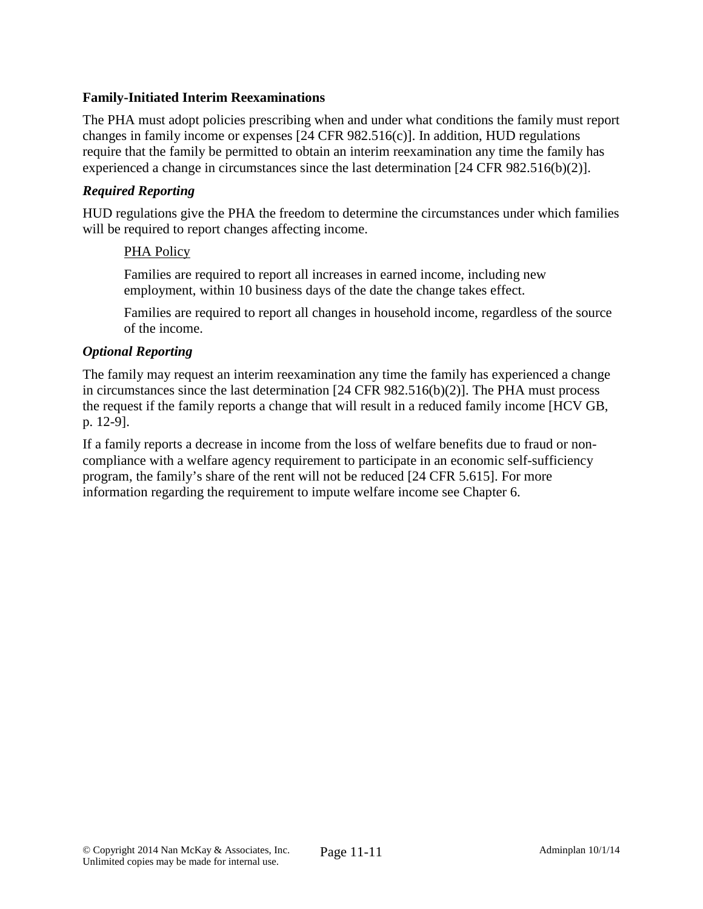## **Family-Initiated Interim Reexaminations**

The PHA must adopt policies prescribing when and under what conditions the family must report changes in family income or expenses [24 CFR 982.516(c)]. In addition, HUD regulations require that the family be permitted to obtain an interim reexamination any time the family has experienced a change in circumstances since the last determination [24 CFR 982.516(b)(2)].

### *Required Reporting*

HUD regulations give the PHA the freedom to determine the circumstances under which families will be required to report changes affecting income.

### PHA Policy

Families are required to report all increases in earned income, including new employment, within 10 business days of the date the change takes effect.

Families are required to report all changes in household income, regardless of the source of the income.

### *Optional Reporting*

The family may request an interim reexamination any time the family has experienced a change in circumstances since the last determination [24 CFR 982.516(b)(2)]. The PHA must process the request if the family reports a change that will result in a reduced family income [HCV GB, p. 12-9].

If a family reports a decrease in income from the loss of welfare benefits due to fraud or noncompliance with a welfare agency requirement to participate in an economic self-sufficiency program, the family's share of the rent will not be reduced [24 CFR 5.615]. For more information regarding the requirement to impute welfare income see Chapter 6.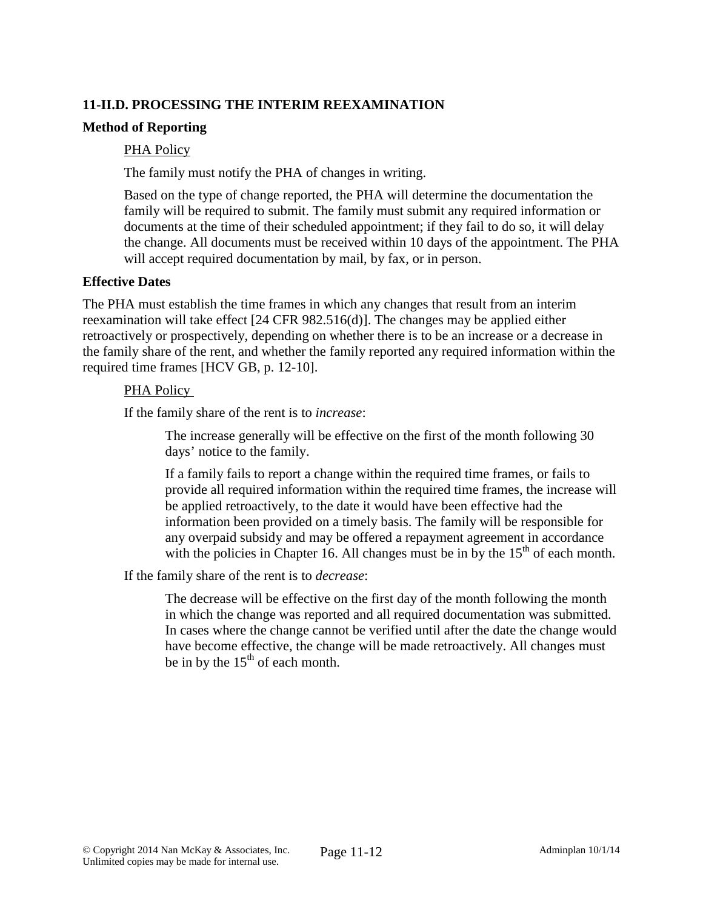# **11-II.D. PROCESSING THE INTERIM REEXAMINATION**

### **Method of Reporting**

### PHA Policy

The family must notify the PHA of changes in writing.

Based on the type of change reported, the PHA will determine the documentation the family will be required to submit. The family must submit any required information or documents at the time of their scheduled appointment; if they fail to do so, it will delay the change. All documents must be received within 10 days of the appointment. The PHA will accept required documentation by mail, by fax, or in person.

#### **Effective Dates**

The PHA must establish the time frames in which any changes that result from an interim reexamination will take effect [24 CFR 982.516(d)]. The changes may be applied either retroactively or prospectively, depending on whether there is to be an increase or a decrease in the family share of the rent, and whether the family reported any required information within the required time frames [HCV GB, p. 12-10].

### PHA Policy

If the family share of the rent is to *increase*:

The increase generally will be effective on the first of the month following 30 days' notice to the family.

If a family fails to report a change within the required time frames, or fails to provide all required information within the required time frames, the increase will be applied retroactively, to the date it would have been effective had the information been provided on a timely basis. The family will be responsible for any overpaid subsidy and may be offered a repayment agreement in accordance with the policies in Chapter 16. All changes must be in by the  $15<sup>th</sup>$  of each month.

If the family share of the rent is to *decrease*:

The decrease will be effective on the first day of the month following the month in which the change was reported and all required documentation was submitted. In cases where the change cannot be verified until after the date the change would have become effective, the change will be made retroactively. All changes must be in by the  $15<sup>th</sup>$  of each month.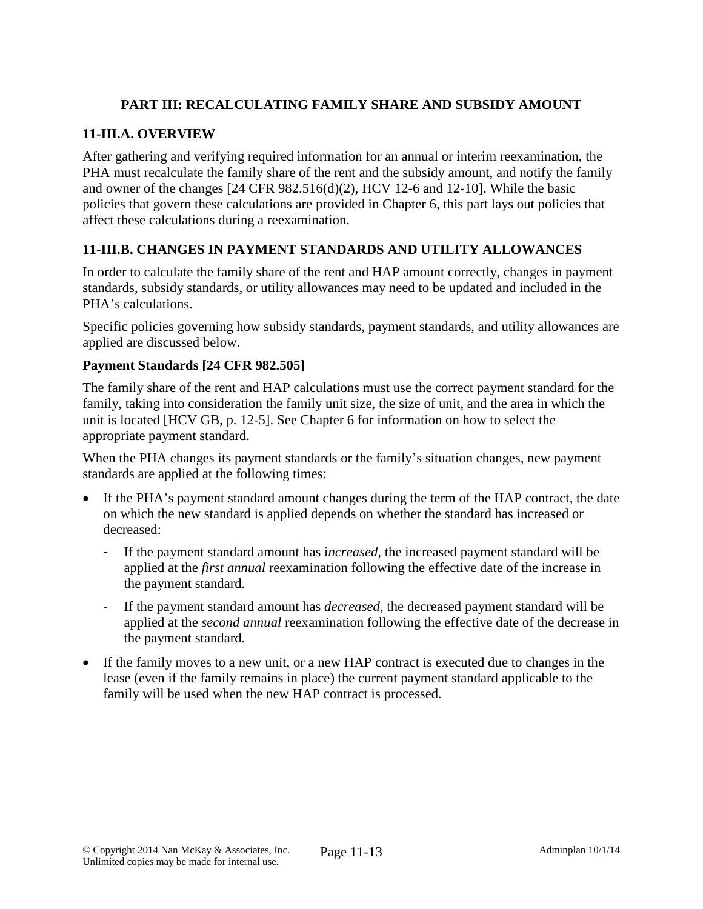# **PART III: RECALCULATING FAMILY SHARE AND SUBSIDY AMOUNT**

### **11-III.A. OVERVIEW**

After gathering and verifying required information for an annual or interim reexamination, the PHA must recalculate the family share of the rent and the subsidy amount, and notify the family and owner of the changes [24 CFR 982.516(d)(2), HCV 12-6 and 12-10]. While the basic policies that govern these calculations are provided in Chapter 6, this part lays out policies that affect these calculations during a reexamination.

## **11-III.B. CHANGES IN PAYMENT STANDARDS AND UTILITY ALLOWANCES**

In order to calculate the family share of the rent and HAP amount correctly, changes in payment standards, subsidy standards, or utility allowances may need to be updated and included in the PHA's calculations.

Specific policies governing how subsidy standards, payment standards, and utility allowances are applied are discussed below.

### **Payment Standards [24 CFR 982.505]**

The family share of the rent and HAP calculations must use the correct payment standard for the family, taking into consideration the family unit size, the size of unit, and the area in which the unit is located [HCV GB, p. 12-5]. See Chapter 6 for information on how to select the appropriate payment standard.

When the PHA changes its payment standards or the family's situation changes, new payment standards are applied at the following times:

- If the PHA's payment standard amount changes during the term of the HAP contract, the date on which the new standard is applied depends on whether the standard has increased or decreased:
	- If the payment standard amount has i*ncreased,* the increased payment standard will be applied at the *first annual* reexamination following the effective date of the increase in the payment standard.
	- If the payment standard amount has *decreased*, the decreased payment standard will be applied at the *second annual* reexamination following the effective date of the decrease in the payment standard.
- If the family moves to a new unit, or a new HAP contract is executed due to changes in the lease (even if the family remains in place) the current payment standard applicable to the family will be used when the new HAP contract is processed.